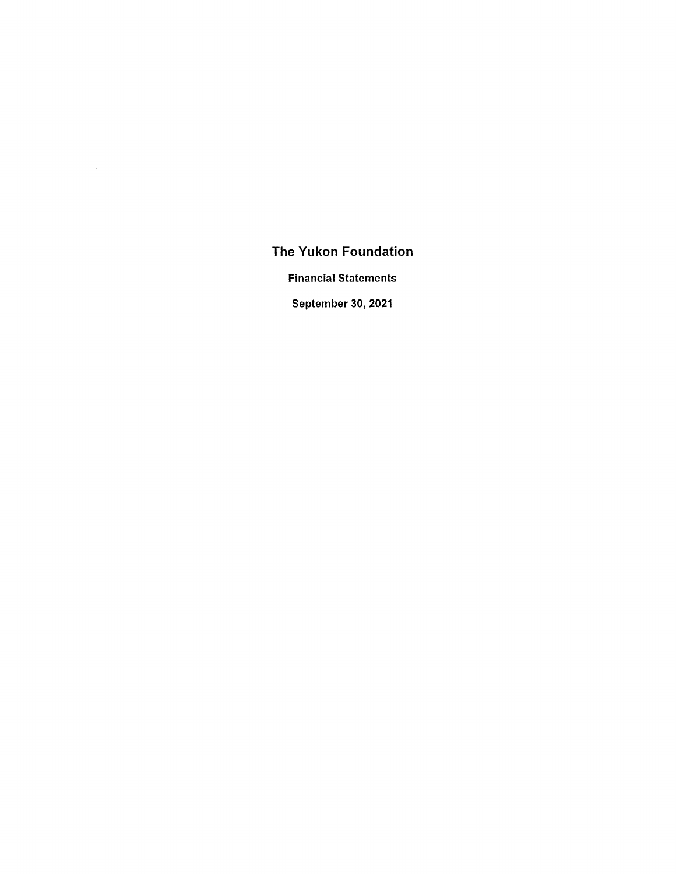Financial Statements

September 30, 2021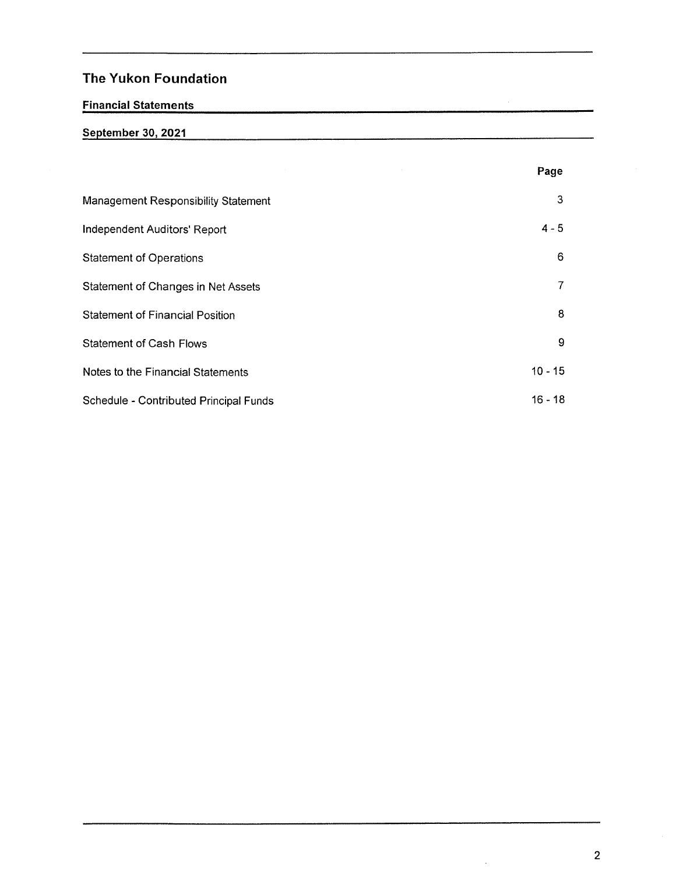# Financial Statements

# September 30, 2021

|                                        | Page        |  |
|----------------------------------------|-------------|--|
| Management Responsibility Statement    | 3           |  |
| Independent Auditors' Report           | $4 - 5$     |  |
| <b>Statement of Operations</b>         | 6           |  |
| Statement of Changes in Net Assets     | 7           |  |
| <b>Statement of Financial Position</b> | 8           |  |
| <b>Statement of Cash Flows</b>         | $\mathsf g$ |  |
| Notes to the Financial Statements      | $10 - 15$   |  |
| Schedule - Contributed Principal Funds | $16 - 18$   |  |

 $\hat{\mathcal{L}}$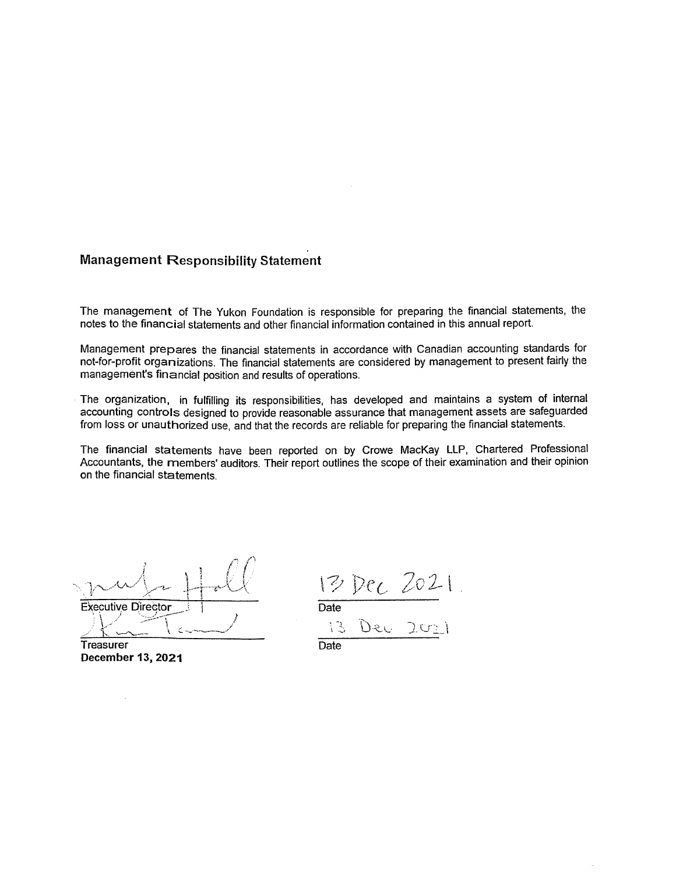# Management Responsibility Statemént

The management of The Yukon Foundation is responsible for preparing the financial statements, the notes to the financiai statements and other financial information contained in this annual report

Management prepares the financial statements in accordance with Canadian accounting standards for not-for-profit organizations. The financial statements are considered by management to present fairly the management's financial position and results of operations.

The organization, in fulfilling its responsibilities, has developed and maintains a system of internal accounting controls designed to provide reasonable assurance that management assets are safeguarded from loss or unauthorized use, and that the records are reliable for preparing the financial statements.

The financial statements have been reported on by Crowe MacKay LLP, Chartered Professional Accountants. the members' auditors. Their report outlines the scope of their examination and their opinion on the financial statements.

 $\cap$   $\cap$ Executive Director

Treasurer December <sup>1</sup>3, 2021

 $13$  Dec  $2021$  $\eta$  Date Date<br>
13 Dec 2011<br>Date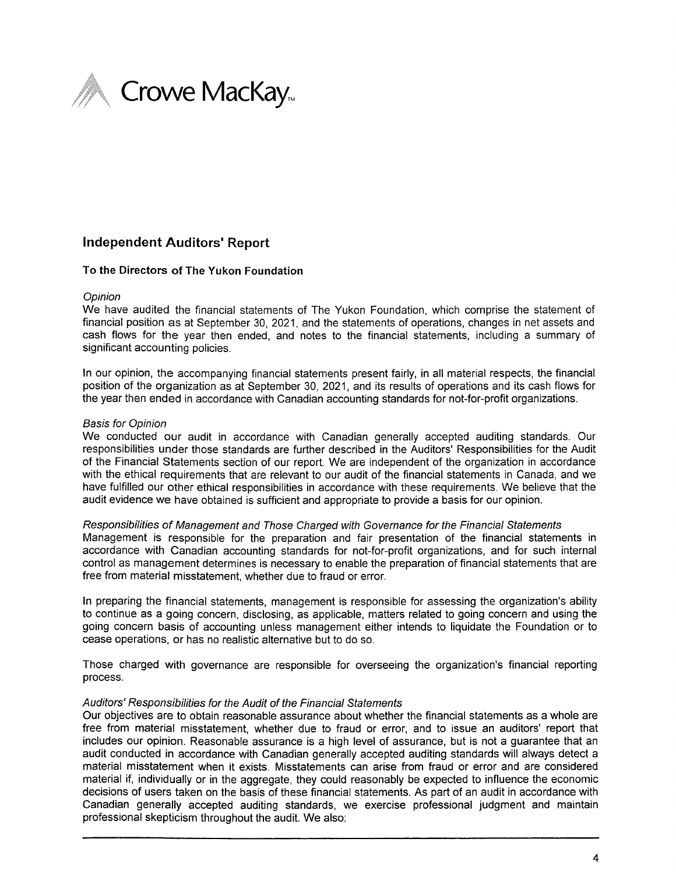

# Independent Auditors' Report

## To the Directors of The Yukon Foundation

Opinion<br>We have audited the financial statements of The Yukon Foundation, which comprise the statement of financia! position as at September 30, 2021, and the statements of operations, changes in net assets and cash flows for the year then ended, and notes to the financial statements, including a summary of significant accounting policies.

In our opinion. the accompanying financial statements present fairly, in all material respects, the financial position of the organization as at September 30, 2021, and its results of operations and its cash flows for the year then ended in accordance with Canadian accounting standards for not-for-profit organizations.

#### Basis for Opinion

We conducted our audit in accordance with Canadian generally accepted auditing standards. Our responsibilities under those standards are further described in the Auditors' Responsibilities for the Audit of the Financial Statements section of our report. We are independent of the organization in accordance with the ethical requirements that are relevant to our audit of the financial statements in Canada, and we have fulfilled our other ethical responsibilities in accordance with these requirements. We believe that the audit evidence we have obtained is sufficient and appropriate to provide a basis for our opinion.

#### Responsibilities of Management and Those Charged with Governance for the Financial Statements

Management is responsible for the preparation and fair presentation of the financiai statements in accordance with Canadian accounting standards for not-for-profit organizations, and for such internal control as management determines is necessary to enable the preparation of financial statements that are free from material misstatement, whether due to fraud or error.

In preparing the financial statements, management is responsible for assessing the organization's ability to continue as going concern, disclosing, as applicable, matters reIated to going concern and using the going concern basis of accounting unless management either intends to liquidate the Foundation or to cease operations, or has no realistic aiternative but to do so.

Those charged with governance are responsible for overseeing the organization's financial reporting process.

#### Auditors' Responsibilities for the Audit of the Financial Statements

Our objectives are to obtain reasonable assurance about whether the financial statements as whole are free from material misstatement, whether due to fraud or error. and to issue an auditors' report that includes our opinion. Reasonable assurance is a high level of assurance, but is not a guarantee that an audit conducted in accordance with Canadian generally accepted auditing standards will always detect a material misstatement when it exists. Misstatements can arise from fraud or error and are considered material if, individually or in the aggregate, they could reasonably be expected to influence the economic decisions of users taken on the basis of these financial statements. As part of an audit in accordance with Canadian generaily accepted auditing standards, we exercise professional judgment and maintain professional skepticism throughout the audit. We also: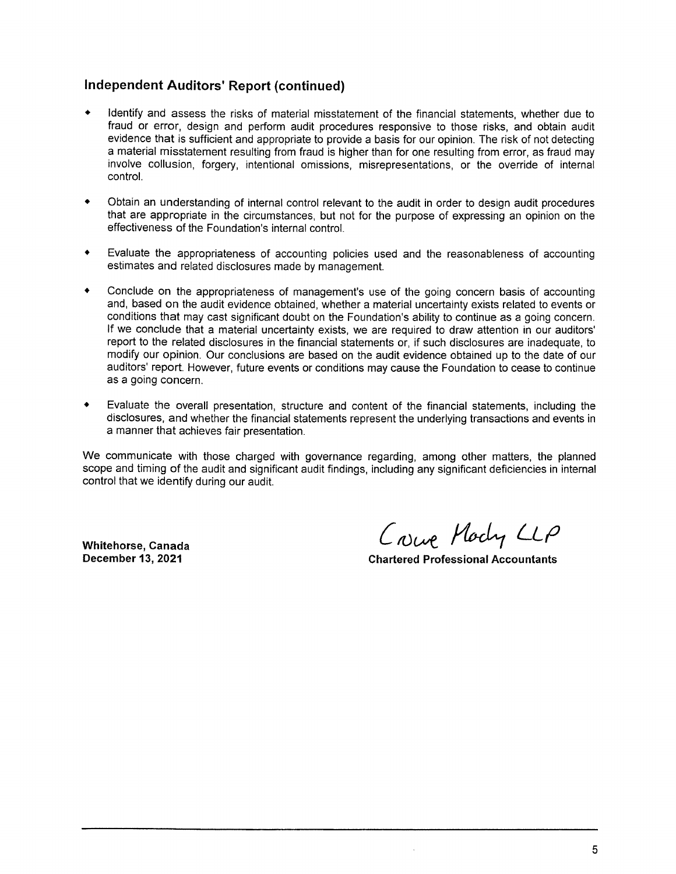# Independent Auditors' Report (continued)

- $\bullet$ Identify and assess the risks of material misstatement of the financial statements, whether due to fraud or error, design and perform audit procedures responsive to those risks, and obtain audit evidence that is sufficient and appropriate to provide a basis for our opinion. The risk of not detecting a material misstatement resulting from fraud is higher than for one resulting from error, as fraud may involve collusion, forgery, intentional omissions, misrepresentations, or the override of internal control.
- Obtain an understanding of internal control relevant to the audit in order to design audit procedures that are appropriate in the circumstances, but not for the purpose of expressing an opinion on the effectiveness of the Foundation's internal control.
- $\bullet$ Evaluate the appropriateness of accounting policies used and the reasonableness of accounting estimates and related disclosures made by management.
- Conciude on the appropriateness of management's use of the going concern basis of accounting  $\bullet$ and, based on the audit evidence obtained, whether a material uncertainty exists related to events or conditions that may cast significant doubt on the Foundation's ability to continue as a going concern. If we conclude that material uncertainty exists, we are required to draw attention in our auditors' report to the related disclosures in the financial statements or, if such disclosures are inadequate, to modify our opinion. Our conclusions are based on the audit evidence obtained up to the date of our auditors' report. However, future events or conditions may cause the Foundation to cease to continue as a going concern.
- $\bullet$ Evaluate the overall presentation, structure and content of the financial statements, including the disclosures, and whether the financial statements represent the underlying transactions and events in manner that achieves fair presentation.

We communicate with those charged with governance regarding, among other matters, the planned scope and timing of the audit and significant audit findings, including any significant deficiencies in internal control that we identify during our audit.

Whitehorse, Canada (Owe WLL'0

**Chartered Professional Accountants**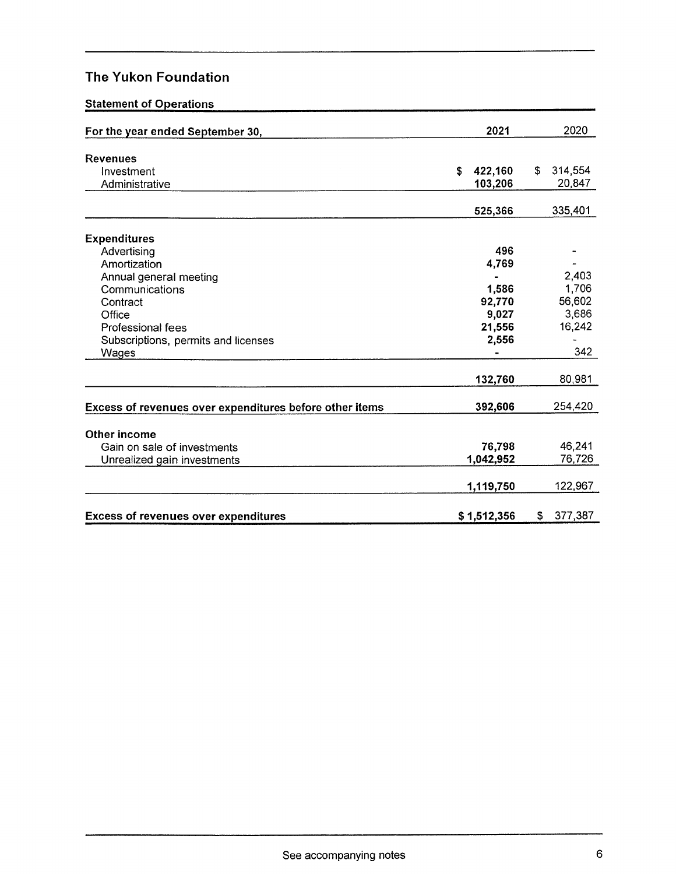# Statement of Operations

| For the year ended September 30,                        | 2021          | 2020          |
|---------------------------------------------------------|---------------|---------------|
| <b>Revenues</b>                                         |               |               |
| Investment                                              | \$<br>422,160 | \$<br>314,554 |
| Administrative                                          | 103,206       | 20,847        |
|                                                         | 525,366       | 335,401       |
|                                                         |               |               |
| <b>Expenditures</b>                                     |               |               |
| Advertising                                             | 496           |               |
| Amortization                                            | 4,769         |               |
| Annual general meeting                                  |               | 2,403         |
| Communications                                          | 1,586         | 1,706         |
| Contract                                                | 92,770        | 56,602        |
| Office                                                  | 9,027         | 3,686         |
| <b>Professional fees</b>                                | 21,556        | 16,242        |
| Subscriptions, permits and licenses                     | 2,556         |               |
| Wages                                                   |               | 342           |
|                                                         | 132,760       | 80,981        |
| Excess of revenues over expenditures before other items | 392,606       | 254,420       |
|                                                         |               |               |
| Other income                                            |               |               |
| Gain on sale of investments                             | 76,798        | 46,241        |
| Unrealized gain investments                             | 1,042,952     | 76,726        |
|                                                         | 1,119,750     | 122,967       |
| <b>Excess of revenues over expenditures</b>             | \$1,512,356   | 377,387<br>\$ |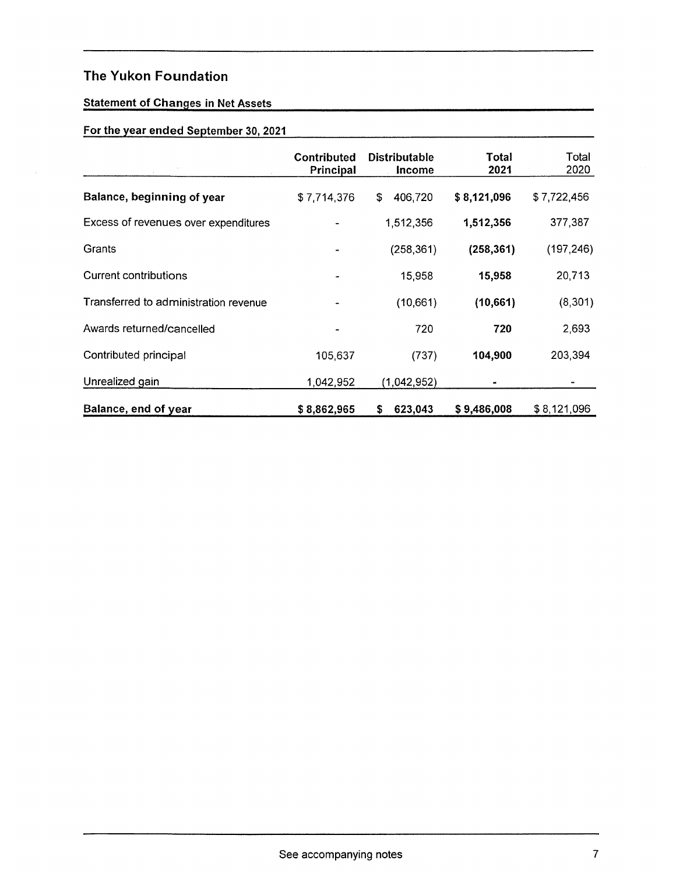# Statement of Changes in Net Assets

# For the year ended September 30, 2021

|                                       | <b>Contributed</b><br>Principal | <b>Distributable</b><br>Income | Total<br>2021 | Total<br>2020 |
|---------------------------------------|---------------------------------|--------------------------------|---------------|---------------|
| Balance, beginning of year            | \$7,714,376                     | 406,720<br>\$                  | \$8,121,096   | \$7,722,456   |
| Excess of revenues over expenditures  |                                 | 1,512,356                      | 1,512,356     | 377,387       |
| Grants                                |                                 | (258, 361)                     | (258, 361)    | (197, 246)    |
| <b>Current contributions</b>          |                                 | 15,958                         | 15,958        | 20,713        |
| Transferred to administration revenue |                                 | (10,661)                       | (10, 661)     | (8, 301)      |
| Awards returned/cancelled             |                                 | 720                            | 720           | 2,693         |
| Contributed principal                 | 105,637                         | (737)                          | 104,900       | 203,394       |
| Unrealized gain                       | 1,042,952                       | (1,042,952)                    |               |               |
| Balance, end of year                  | \$8,862,965                     | 623,043<br>\$                  | \$9,486,008   | \$8,121,096   |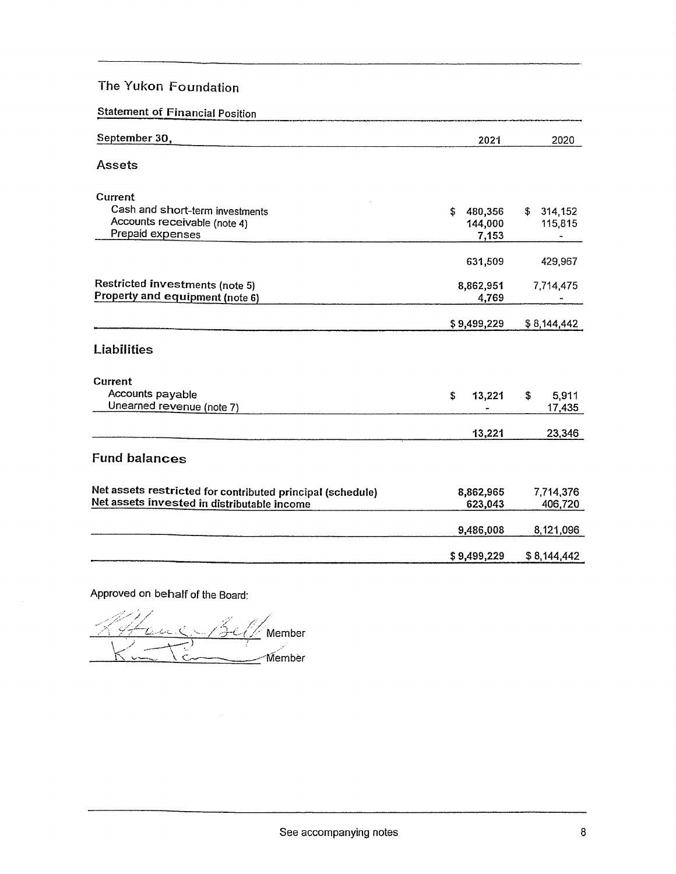| <b>Statement of Financial Position</b> |  |
|----------------------------------------|--|
|                                        |  |

| September 30,                                              | 2021          | 2020          |
|------------------------------------------------------------|---------------|---------------|
| Assets                                                     |               |               |
| <b>Current</b>                                             |               |               |
| Cash and short-term investments                            | \$<br>480,356 | 314,152<br>\$ |
| Accounts receivable (note 4)                               | 144,000       | 115,815       |
| Prepaid expenses                                           | 7,153         |               |
|                                                            | 631,509       | 429,967       |
| <b>Restricted investments (note 5)</b>                     | 8,862,951     | 7,714,475     |
| Property and equipment (note 6)                            | 4,769         |               |
|                                                            | \$9,499,229   | \$8,144,442   |
| Liabilities                                                |               |               |
| Current                                                    |               |               |
| Accounts payable                                           | \$<br>13,221  | 5,911<br>\$   |
| Unearned revenue (note 7)                                  |               | 17,435        |
|                                                            | 13,221        | 23,346        |
| <b>Fund balances</b>                                       |               |               |
| Net assets restricted for contributed principal (schedule) | 8,862,965     | 7,714,376     |
| Net assets invested in distributable income                | 623,043       | 406,720       |
|                                                            | 9,486,008     | 8,121,096     |
|                                                            | \$9,499,229   | \$8,144,442   |

Approved on behalf of the Board:

<u>It and C-Bell</u> Member ,1 \_) ; ,- <u>Hamber</u><br>Kunsten Bell Member  $\overline{\phantom{a}}$  Member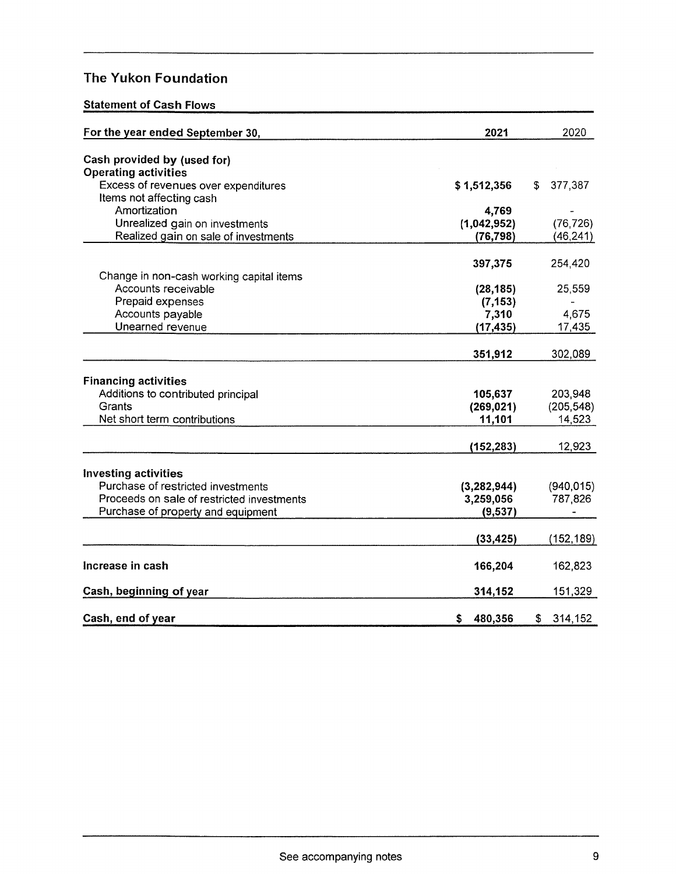# Statement of Cash Flows

| For the year ended September 30,           | 2021          | 2020          |
|--------------------------------------------|---------------|---------------|
| Cash provided by (used for)                |               |               |
| <b>Operating activities</b>                |               |               |
| Excess of revenues over expenditures       | \$1,512,356   | 377,387<br>\$ |
| Items not affecting cash                   |               |               |
| Amortization                               | 4,769         |               |
| Unrealized gain on investments             | (1,042,952)   | (76, 726)     |
| Realized gain on sale of investments       | (76, 798)     | (46, 241)     |
|                                            | 397,375       | 254,420       |
| Change in non-cash working capital items   |               |               |
| Accounts receivable                        | (28, 185)     | 25,559        |
| Prepaid expenses                           | (7, 153)      |               |
| Accounts payable                           | 7,310         | 4,675         |
| Unearned revenue                           | (17, 435)     | 17,435        |
|                                            |               |               |
|                                            | 351,912       | 302,089       |
| <b>Financing activities</b>                |               |               |
| Additions to contributed principal         | 105,637       | 203,948       |
| Grants                                     | (269, 021)    | (205, 548)    |
| Net short term contributions               | 11,101        | 14,523        |
|                                            |               |               |
|                                            | (152, 283)    | 12,923        |
| <b>Investing activities</b>                |               |               |
| Purchase of restricted investments         | (3, 282, 944) | (940, 015)    |
| Proceeds on sale of restricted investments | 3,259,056     | 787,826       |
| Purchase of property and equipment         | (9,537)       |               |
|                                            |               |               |
|                                            | (33, 425)     | (152, 189)    |
| Increase in cash                           | 166,204       | 162,823       |
|                                            |               |               |
| Cash, beginning of year                    | 314,152       | 151,329       |
| Cash, end of year                          | \$<br>480,356 | \$<br>314,152 |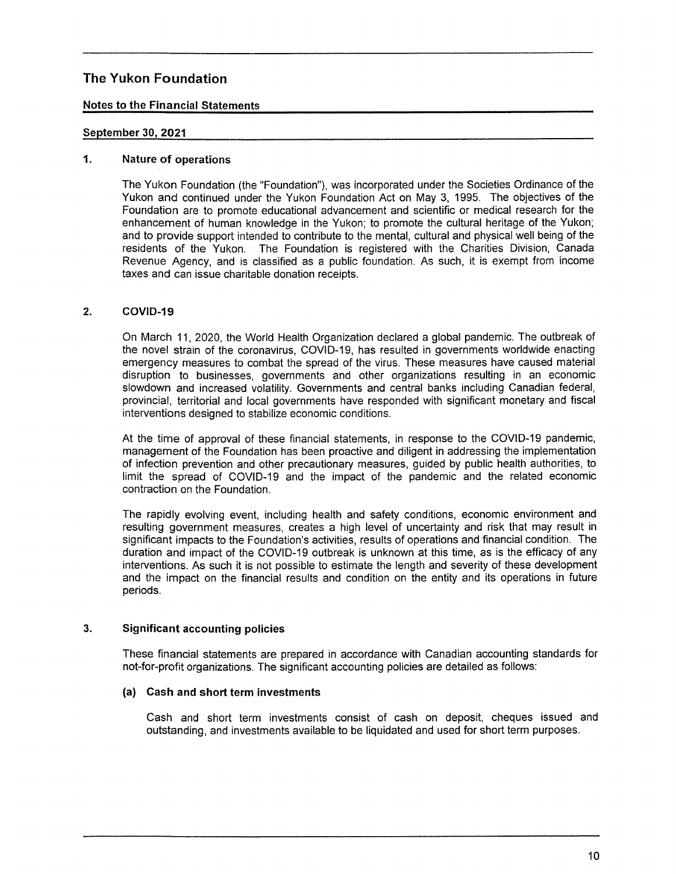# Notes to the Financial Statements

# September 30, 2021

## 1. Nature of operations

The Yukon Foundation (the "Foundation"), was incorporated under the Societies Ordinance of the Yukon and continued under the Yukon Foundation Act on May 3, 1995. The objectives of the Foundation are to promote educational advancement and scientific or medical research for the enhancement of human knowledge in the Yukon; to promote the cultural heritage of the Yukon; and to provide support intended to contribute to the mental, cultural and physical well being of the residents of the Yukon. The Foundation is registered with the Charities Division, Canada Revenue Agency. and is classified as public foundation. As such, it is exempt from income taxes and can issue charitable donation receipts.

#### $2.$ COVID-19

On March 11, 2020, the World Health Organization declared global pandemic. The outbreak of the novel strain of the coronavirus, COVID—19, has resulted in governments worldwide enacting emergency measures to combat the spread of the virus. These measures have caused material disruption to businesses, governments and other organizations resulting in an economic slowdown and increased volatility. Governments and central banks including Canadian federal, provincial, territorial and local governments have responded with significant monetary and fiscal interventions designed to stabilize economic conditions.

At the time of approval of these financial statements, in response to the COVID-19 pandemic, management of the Foundation has been proactive and diligent in addressing the implementation of infection prevention and other precautionary measures, guided by public health authorities, to limit the spread of COVID-19 and the impact of the pandemic and the related economic contraction on the Foundation.

The rapidly evolving event, including health and safety conditions, economic environment and resulting government measures, creates a high level of uncertainty and risk that may result in significant impacts to the Foundation's activities, results of operations and financial condition. The duration and impact of the COVID-19 outbreak is unknown at this time, as is the efficacy of any interventions. As such it is not possible to estimate the length and severity of these development and the impact on the financial results and condition on the entity and its operations in future periods.

#### 3. Significant accounting policies

These financial statements are prepared in accordance with Canadian accounting standards for not—for—profit organizations. The significant accounting policies are detailed as follows:

## (a) Cash and short term investments

Cash and short term investments consist of cash on deposit, cheques issued and outstanding, and investments available to be liquidated and used for short term purposes.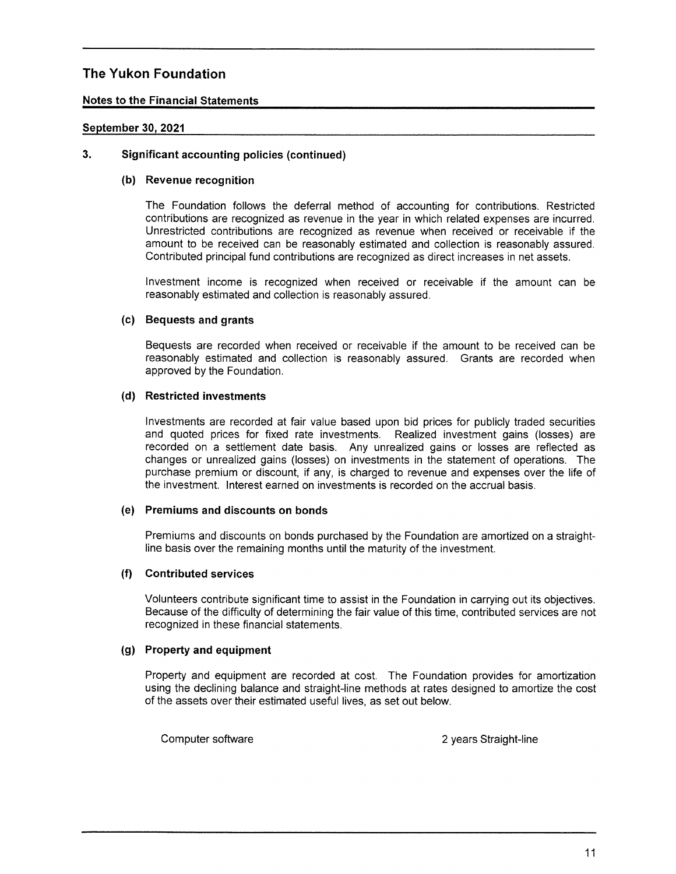# Notes to the Financial Statements

# September 30, 2021

# 3. Significant accounting policies (continued)

## (b) Revenue recognition

The Foundation follows the deferrai method of accounting for contributions. Restricted contributions are recognized as revenue in the year in which related expenses are incurred. Unrestricted contributions are recognized as revenue when received or receivable if the amount to be received can be reasonably estimated and coliection is reasonably assured. Contributed principal fund contributions are recognized as direct increases in net assets.

Investment income is recognized when received or receivable if the amount can be reasonably estimated and collection is reasonably assured.

# (c) Bequests and grants

Bequests are recorded when received or receivable if the amount to be received can be reasonabiy estimated and collection is reasonably assured. Grants are recorded when approved by the Foundation.

# (d) Restricted investments

investments are recorded at fair value based upon bid prices for publicly traded securities and quoted prices for fixed rate investments. Realized investment gains (losses) are recorded on settlement date basis. Any unrealized gains or losses are reflected as changes or unrealized gains (losses) on investments in the statement of operations. The purchase premium or discount. if any, is charged to revenue and expenses over the life of the investment. Interest earned on investments is recorded on the accrual basis,

# (e) Premiums and discounts on bonds

Premiums and discounts on bonds purchased by the Foundation are amortized on a straightline basis over the remaining months until the maturity of the investment.

## (f) Contributed services

Volunteers contribute significant time to assist in the Foundation in carrying out its objectives. Because of the difficulty of determining the fair value of this time, contributed services are not recognized in these financial statements.

# (9) Property and equipment

Property and equipment are recorded at cost. The Foundation provides for amortization using the declining balance and straight-line methods at rates designed to amortize the cost of the assets over their estimated useful lives, as set out below.

Computer software  $\sim$  2 years Straight-line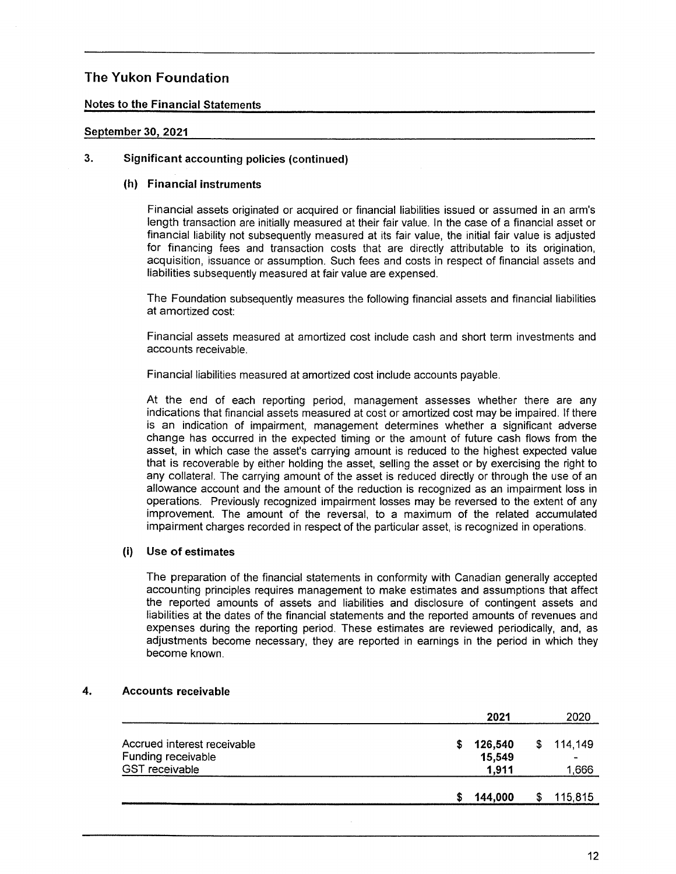# Notes to the Financial Statements

# September 30, 2021

# 3. Significant accounting policies (continued)

## (h) Financial instruments

Financial assets originated or acquired or financia! liabilities issued or assumed in an arm's length transaction are initially measured at their fair value. In the case of a financial asset or financial liabiiity not subsequently measured at its fair value, the initial fair value is adjusted for financing fees and transaction costs that are directly attributable to its origination, acquisition, issuance or assumption. Such fees and costs in respect of financial assets and liabilities subsequently measured at fair value are expensed.

The Foundation subsequently measures the following financial assets and financial liabilities at amortized cost:

Financial assets measured at amortized cost include cash and short term investments and accounts receivable.

Financial liabilities measured at amortized cost include accounts payable.

At the end of each reporting period. management assesses whether there are any indications that financial assets measured at cost or amortized cost may be impaired. If there is an indication of impairment, management determines whether a significant adverse change has occurred in the expected timing or the amount of future cash flows from the asset, in which case the asset's carrying amount is reduced to the highest expected value that is recoverable by either holding the asset, selling the asset or by exercising the right to any collateral. The carrying amount of the asset is reduced directly or through the use of an allowance account and the amount of the reduction is recognized as an impairment loss in operations. Previously recognized impairment losses may be reversed to the extent of any improvement. The amount of the reversal, to a maximum of the related accumulated impairment charges recorded in respect of the particular asset. is recognized in operations.

# (i) Use of estimates

The preparation of the financial statements in conformity with Canadian generally accepted accounting principles requires management to make estimates and assumptions that affect the reported amounts of assets and liabilities and disclosure of contingent assets and liabilities at the dates of the financial statements and the reported amounts of revenues and expenses during the reporting period. These estimates are reviewed periodically, and, as adjustments become necessary. they are reported in earnings in the period in which they become known.

#### 4. Accounts receivable

|                             |   | 2021    |    | 2020                         |
|-----------------------------|---|---------|----|------------------------------|
| Accrued interest receivable | S | 126,540 | S. | 114,149                      |
| Funding receivable          |   | 15,549  |    | $\qquad \qquad \blacksquare$ |
| <b>GST</b> receivable       |   | 1,911   |    | 666, ا                       |
|                             | ъ | 144,000 |    | 115,815                      |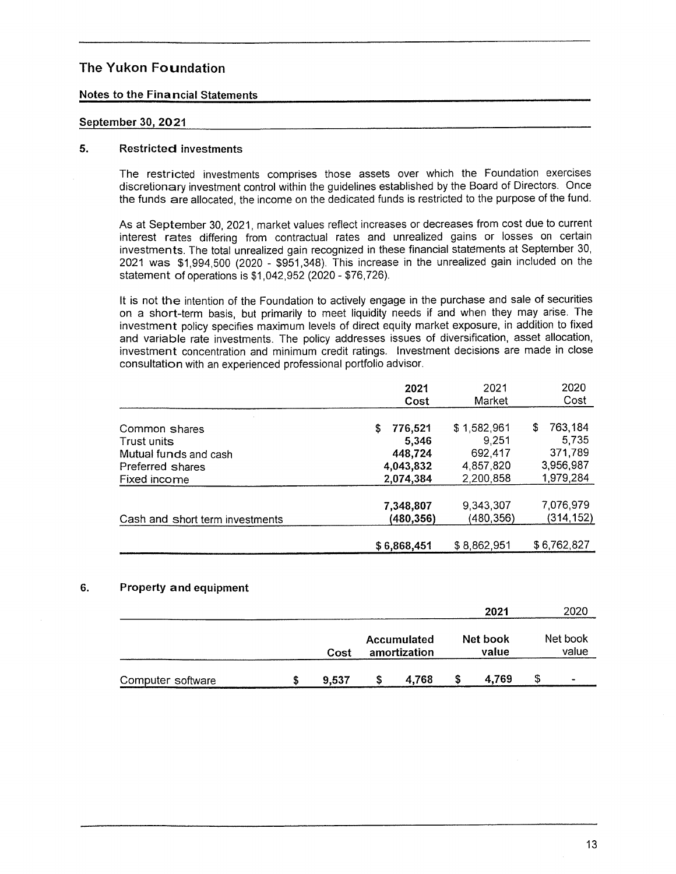# Notes to the Financial Statements

#### September 30, 2021

#### 5. Restricted investments

The restricted investments comprises those assets over which the Foundation exercises discretionary investment control within the guidelines established by the Board of Directors. Once the funds are allocated, the income on the dedicated funds is restricted to the purpose of the fund.

As at September 30, 2021, market values reflect increases or decreases from cost due to current interest rates differing from contractual rates and unrealized gains or losses on certain investments. The total unrealized gain recognized in these financial statéments at September 30, 2021 was \$1,994,500 (2020 — \$951,348). This increase in the unrealized gain included on the statement of operations is \$1,042,952 (2020 - \$76,726).

It is not the intention of the Foundation to actively engage in the purchase and sale of securities on a short-term basis, but primarily to meet liquidity needs if and when they may arise. The investment policy specifies maximum levels of direct equity market exposure, in addition to fixed and variable rate investments. The policy addresses issues of diversification. asset allocation, investment concentration and minimum credit ratings. Investment decisions are made in close consultation with an experienced professional portfolio adviser.

|                                 | 2021                  | 2021                 | 2020                   |
|---------------------------------|-----------------------|----------------------|------------------------|
|                                 | Cost                  | Market               | Cost                   |
| Common shares<br>Trust units    | 776,521<br>S<br>5,346 | \$1,582,961<br>9.251 | 763,184<br>\$<br>5.735 |
| Mutual funds and cash           | 448,724               | 692,417              | 371,789                |
| Preferred shares                | 4,043,832             | 4,857,820            | 3,956,987              |
| Fixed income                    | 2,074,384             | 2,200,858            | 1,979,284              |
| Cash and short term investments | 7,348,807             | 9.343,307            | 7,076,979              |
|                                 | (480,356)             | (480,356)            | (314,152)              |
|                                 | \$6,868,451           | \$8,862,951          | \$6,762,827            |

#### 6. Property and equipment

|                   |       |                                    | 2021              | 2020              |
|-------------------|-------|------------------------------------|-------------------|-------------------|
|                   | Cost  | <b>Accumulated</b><br>amortization | Net book<br>value | Net book<br>value |
| Computer software | 9.537 | 4.768                              | 4.769             | \$<br>$\hbox{ }$  |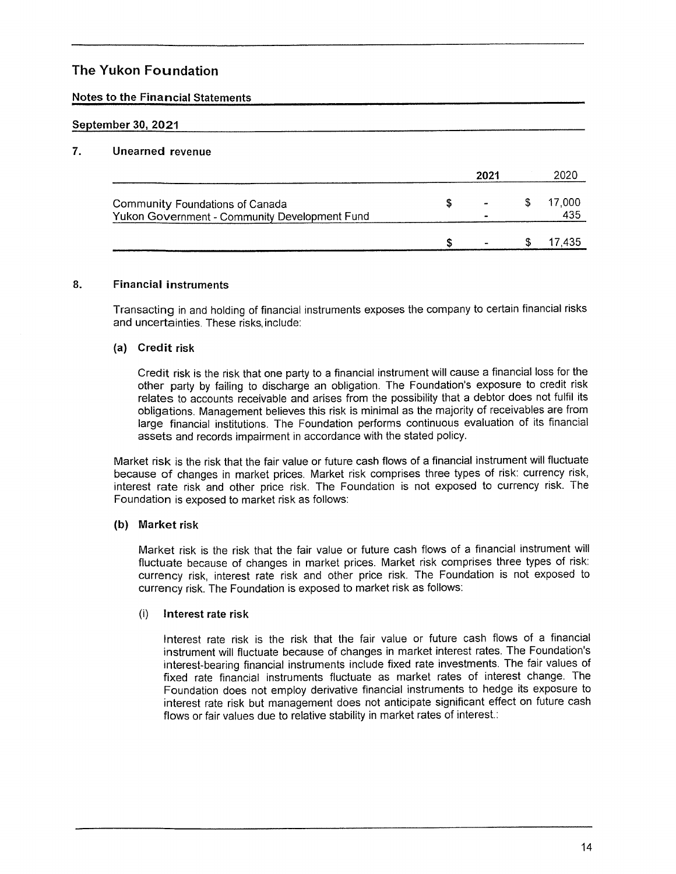# Notes to the Financial Statements

# September 30, 2021

# 7. Unearned revenue

|                                               |   | 2021                  |   | 2020   |
|-----------------------------------------------|---|-----------------------|---|--------|
| Community Foundations of Canada               | S | $\tilde{\phantom{a}}$ |   | 17,000 |
| Yukon Government - Community Development Fund |   |                       |   | 435    |
|                                               |   |                       | æ | 7.435  |

#### 8. Financial instruments

Transacting in and holding of financial instruments exposes the company to certain financial risks and uncertainties. These risks include:

## (a) Credit risk

Credit risk is the risk that one party to a financial instrument will cause a financial loss for the other party by failing to discharge an obligation. The Foundation's exposure to credit risk relates to accounts receivable and arises from the possibility that a debtor does not fulfil its obligations. Management believes this risk is minimal as the majority of receivables are from large financial institutions. The Foundation performs continuous evaluation of its financial assets and records impairment in accordance with the stated policy.

Market risk is the risk that the fair value or future cash flows of a financial instrument will fluctuate because of changes in market prices. Market risk comprises three types of risk: currency risk, interest rate risk and other price risk. The Foundation is not exposed to currency risk. The Foundation is exposed to market risk as follows:

## (b) Market risk

Market risk is the risk that the fair value or future cash flows of a financial instrument will fluctuate because of changes in market prices. Market risk comprises three types of risk: currency risk, interest rate risk and other price risk. The Foundation is not exposed to currency risk. The Foundation is exposed to market risk as follows:

# (6) Interest rate risk

Interest rate risk is the risk that the fair value or future cash flows of a financial instrument will fluctuate because of changes in market interest rates. The Foundation's interest-bearing financial instruments include fixed rate investments. The fair values of fixed rate financial instruments fluctuate as market rates of interest change. The Foundation does not employ derivative financial instruments to hedge its exposure to interest rate risk but management does not anticipate significant effect on future cash flows or fair values due to relative stability in market rates of interest.: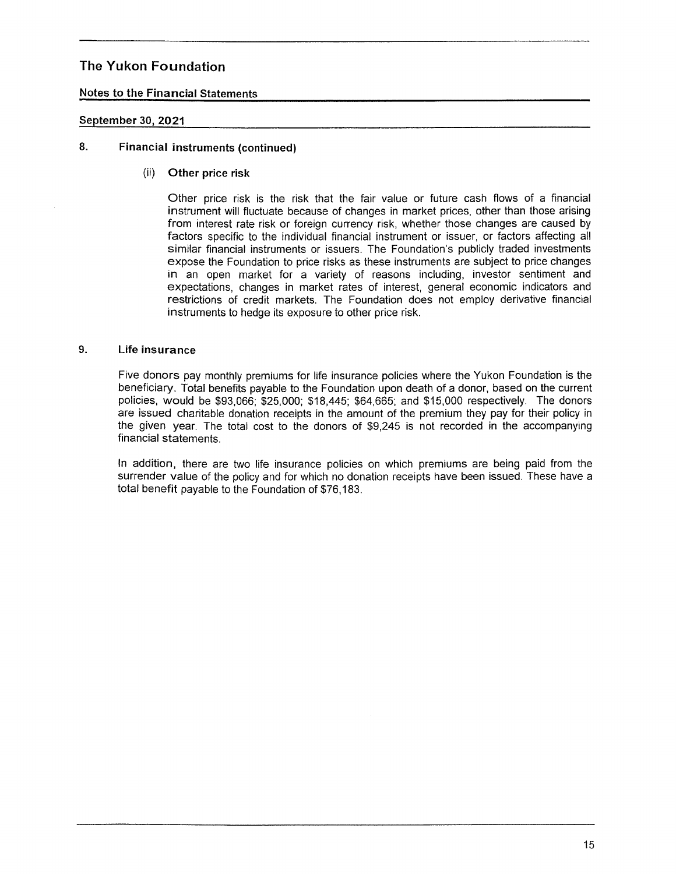# Notes to the Financial Statements

#### September 30, 2021

# 8. Financial instruments (continued)

(ii) Other price risk

Other price risk is the risk that the fair value or future cash flows of a financial instrument will fluctuate because of changes in market prices, other than those arising from interest rate risk or foreign currency risk, whether those changes are caused by factors specific to the individual financial instrument or issuer, or factors affecting all similar financial instruments or issuers. The Foundation's publicly traded investments expose the Foundation to price risks as these instruments are subject to price changes in an open market for a variety of reasons including, investor sentiment and expectations, changes in market rates of interest, general economic indicators and restrictions of credit markets. The Foundation does not employ derivative financial instruments to hedge its exposure to other price risk.

#### $9<sub>1</sub>$ Life insurance

Five donors pay monthly premiums for life insurance policies where the Yukon Foundation is the beneficiary. Total benefits payable to the Foundation upon death of a donor, based on the current policies, would be \$93,066; \$25,000; \$18,445; \$64,665; and \$15,000 respectively. The donors are issued charitable donation receipts in the amount of the premium they pay for their policy in the given year. The total cost to the donors of \$9,245 is not recorded in the accompanying financial statements.

in addition, there are two life insurance policies on which premiums are being paid from the surrender value of the policy and for which no donation receipts have been issued. These have a total benefit payable to the Foundation of \$76,183.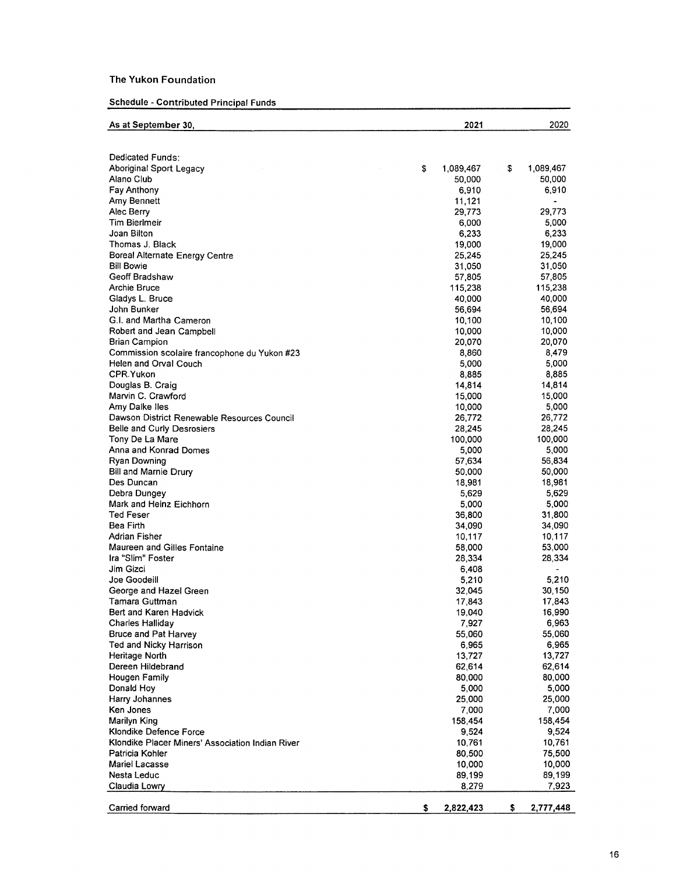#### Schedule - Contributed Principal Funds

| As at September 30,                              | 2021             | 2020             |
|--------------------------------------------------|------------------|------------------|
|                                                  |                  |                  |
| Dedicated Funds:                                 |                  |                  |
| <b>Aboriginal Sport Legacy</b><br>S              | 1,089,467        | \$<br>1,089,467  |
| Alano Club                                       | 50,000           | 50,000           |
| <b>Fay Anthony</b>                               | 6,910            | 6,910            |
| Amy Bennett                                      | 11,121           |                  |
| Alec Berry                                       | 29,773           | 29,773           |
| Tim Bierlmeir                                    | 6,000            | 5,000            |
| Joan Bilton                                      | 6,233            | 6,233            |
| Thomas J. Black                                  | 19,000           | 19,000           |
| <b>Boreal Alternate Energy Centre</b>            | 25,245           | 25,245           |
| <b>Bill Bowie</b>                                | 31,050           | 31,050           |
| Geoff Bradshaw                                   | 57,805           | 57,805           |
| Archie Bruce                                     | 115,238          | 115,238          |
| Gladys L. Bruce                                  | 40,000           | 40,000           |
| John Bunker                                      | 56,694           | 56,694           |
| G.I. and Martha Cameron                          | 10,100           | 10,100           |
| Robert and Jean Campbell                         | 10,000           | 10,000           |
| Brian Campion                                    | 20,070           | 20,070           |
| Commission scolaire francophone du Yukon #23     | 8,860            | 8,479            |
| Helen and Orval Couch                            | 5,000            | 5,000            |
| CPR Yukon                                        | 8,885            | 8,885            |
| Douglas B. Craig                                 | 14,814           | 14,814           |
| Marvin C. Crawford                               | 15,000           | 15,000           |
| Amy Dalke Iles                                   | 10,000           | 5,000            |
| Dawson District Renewable Resources Council      | 26,772           | 26,772           |
| Belle and Curly Desrosiers                       | 28,245           | 28,245           |
| Tony De La Mare                                  | 100,000          | 100,000          |
| Anna and Konrad Domes                            | 5,000            | 5,000            |
| <b>Ryan Downing</b>                              | 57,634           | 56,834           |
| Bill and Marnie Drury                            | 50,000           | 50,000           |
| Des Duncan                                       | 18,981           | 18,981           |
| Debra Dungey                                     | 5,629            | 5,629            |
| Mark and Heinz Eichhorn<br>Ted Feser             | 5,000            | 5,000            |
| Bea Firth                                        | 36,800           | 31,800<br>34,090 |
| Adrian Fisher                                    | 34,090<br>10,117 | 10,117           |
| Maureen and Gilles Fontaine                      | 58,000           | 53,000           |
| Ira "Slim" Foster                                | 28,334           | 28,334           |
| Jim Gizci                                        | 6,408            | $\bullet$        |
| Joe Goodeill                                     | 5.210            | 5,210            |
| George and Hazel Green                           | 32,045           | 30,150           |
| Tamara Guttman                                   | 17,843           | 17,843           |
| Bert and Karen Hadvick                           | 19,040           | 16,990           |
| <b>Charles Halliday</b>                          | 7,927            | 6,963            |
| Bruce and Pat Harvey                             | 55,060           | 55,060           |
| Ted and Nicky Harrison                           | 6,965            | 6,965            |
| Heritage North                                   | 13,727           | 13,727           |
| Dereen Hildebrand                                | 62,614           | 62,614           |
| Hougen Family                                    | 80,000           | 80,000           |
| Donald Hoy                                       | 5,000            | 5,000            |
| Harry Johannes                                   | 25,000           | 25,000           |
| Ken Jones                                        | 7,000            | 7,000            |
| Marilyn King                                     | 158,454          | 158,454          |
| Klondike Defence Force                           | 9,524            | 9,524            |
| Klondike Placer Miners' Association Indian River | 10,761           | 10,761           |
| Patricia Kohler                                  | 80,500           | 75,500           |
| Mariel Lacasse                                   | 10,000           | 10,000           |
| Nesta Leduc                                      | 89.199           | 89,199           |
| Claudia Lowry                                    | 8.279            | 7,923            |
|                                                  |                  |                  |
| Carried forward<br>\$                            | 2,822,423        | \$<br>2,777,448  |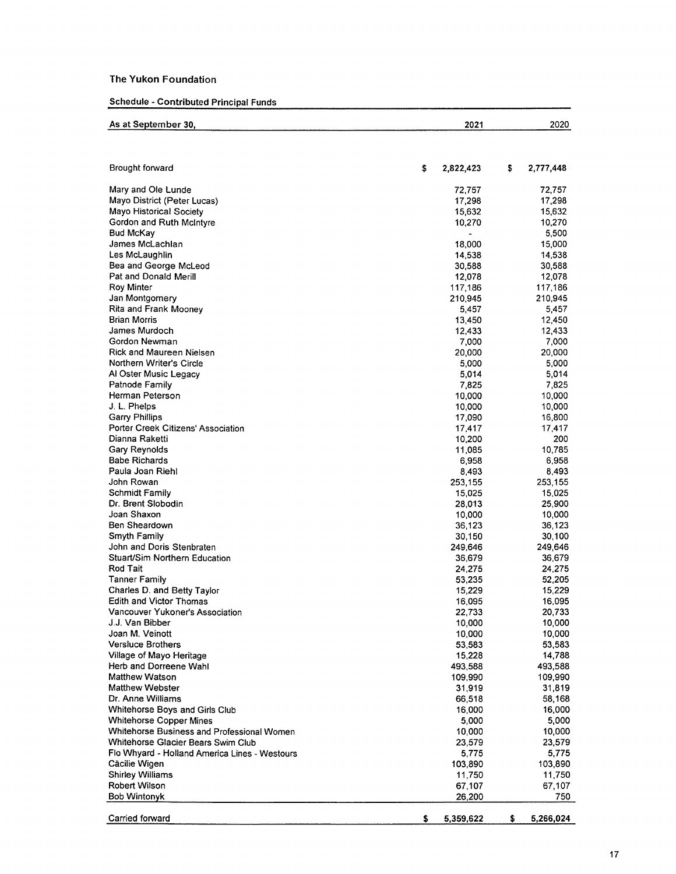# Schedule - Contributed Principal Funds

| As at September 30,                                 | 2021             | 2020              |
|-----------------------------------------------------|------------------|-------------------|
|                                                     |                  |                   |
| Brought forward                                     | \$<br>2,822,423  | \$<br>2,777,448   |
|                                                     |                  |                   |
| Mary and Ole Lunde                                  | 72,757           | 72,757            |
| Mayo District (Peter Lucas)                         | 17,298           | 17,298<br>15,632  |
| Mayo Historical Society<br>Gordon and Ruth McIntyre | 15,632<br>10,270 | 10,270            |
| <b>Bud McKay</b>                                    |                  | 5,500             |
| James McLachlan                                     | 18,000           | 15,000            |
| Les McLaughlin                                      | 14,538           | 14,538            |
| Bea and George McLeod                               | 30,588           | 30,588            |
| Pat and Donald Merill                               | 12,078           | 12,078            |
| Roy Minter                                          | 117,186          | 117,186           |
| Jan Montgomery                                      | 210,945          | 210,945           |
| <b>Rita and Frank Mooney</b>                        | 5,457            | 5,457             |
| <b>Brian Morris</b>                                 | 13,450           | 12,450            |
| James Murdoch                                       | 12,433           | 12,433            |
| Gordon Newman                                       | 7,000            | 7,000             |
| Rick and Maureen Nielsen                            | 20,000           | 20,000            |
| Northern Writer's Circle                            | 5,000            | 5.000             |
| Al Oster Music Legacy                               | 5,014            | 5,014             |
| Patnode Family                                      | 7,825            | 7,825             |
| Herman Peterson                                     | 10,000           | 10,000            |
| J. L. Phelps                                        | 10,000           | 10,000            |
| <b>Garry Phillips</b>                               | 17,090           | 16,800            |
| Porter Creek Citizens' Association                  | 17,417           | 17.417            |
| Dianna Raketti                                      | 10,200           | 200               |
| Gary Reynolds                                       | 11,085           | 10,785            |
| <b>Babe Richards</b>                                | 6,958            | 6,958             |
| Paula Joan Riehl                                    | 8,493            | 8,493             |
| John Rowan                                          | 253,155          | 253,155           |
| <b>Schmidt Family</b>                               | 15,025           | 15,025            |
| Dr. Brent Slobodin                                  | 28,013           | 25,900            |
| Joan Shaxon                                         | 10,000           | 10,000            |
| Ben Sheardown                                       | 36.123           | 36.123            |
| Smyth Family<br>John and Doris Stenbraten           | 30,150           | 30,100<br>249,646 |
| Stuart/Sim Northern Education                       | 249,646          | 36,679            |
| Rod Tait                                            | 36,679<br>24,275 | 24,275            |
| Tanner Family                                       | 53,235           | 52,205            |
| Charles D. and Betty Taylor                         | 15,229           | 15,229            |
| Edith and Victor Thomas                             | 16,095           | 16,095            |
| Vancouver Yukoner's Association                     | 22,733           | 20,733            |
| J.J. Van Bibber                                     | 10,000           | 10,000            |
| Joan M. Veinott                                     | 10,000           | 10,000            |
| <b>Versluce Brothers</b>                            | 53,583           | 53,583            |
| Village of Mayo Heritage                            | 15,228           | 14,788            |
| Herb and Dorreene Wahl                              | 493,588          | 493,588           |
| <b>Matthew Watson</b>                               | 109,990          | 109,990           |
| <b>Matthew Webster</b>                              | 31,919           | 31,819            |
| Dr. Anne Williams                                   | 66,518           | 58,168            |
| Whitehorse Boys and Girls Club                      | 16,000           | 16,000            |
| <b>Whitehorse Copper Mines</b>                      | 5,000            | 5,000             |
| Whitehorse Business and Professional Women          | 10,000           | 10,000            |
| Whitehorse Glacier Bears Swim Club                  | 23,579           | 23,579            |
| Flo Whyard - Holland America Lines - Westours       | 5,775            | 5,775             |
| Cäcilie Wigen                                       | 103,890          | 103,890           |
| <b>Shirley Williams</b>                             | 11,750           | 11,750            |
| Robert Wilson                                       | 67.107           | 67,107            |
| <b>Bob Wintonyk</b>                                 | 26,200           | 750               |
| Carried forward                                     | \$<br>5,359,622  | \$.<br>5,266,024  |
|                                                     |                  |                   |